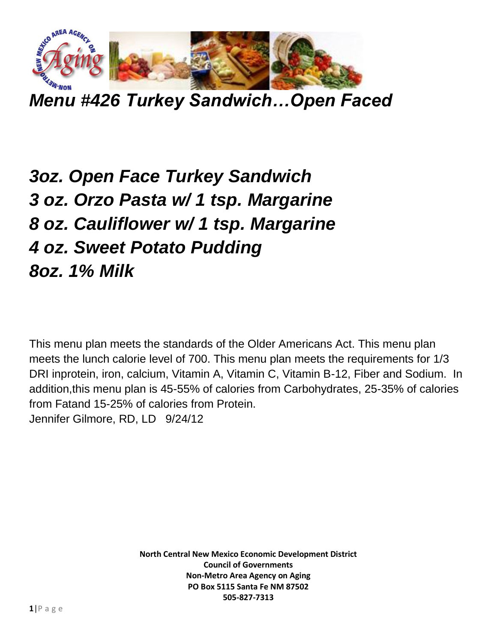

*Menu #426 Turkey Sandwich…Open Faced*

## *3oz. Open Face Turkey Sandwich 3 oz. Orzo Pasta w/ 1 tsp. Margarine 8 oz. Cauliflower w/ 1 tsp. Margarine 4 oz. Sweet Potato Pudding 8oz. 1% Milk*

This menu plan meets the standards of the Older Americans Act. This menu plan meets the lunch calorie level of 700. This menu plan meets the requirements for 1/3 DRI inprotein, iron, calcium, Vitamin A, Vitamin C, Vitamin B-12, Fiber and Sodium. In addition,this menu plan is 45-55% of calories from Carbohydrates, 25-35% of calories from Fatand 15-25% of calories from Protein. Jennifer Gilmore, RD, LD 9/24/12

> **North Central New Mexico Economic Development District Council of Governments Non-Metro Area Agency on Aging PO Box 5115 Santa Fe NM 87502 505-827-7313**